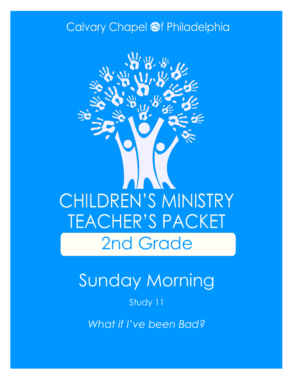## Calvary Chapel @f Philadelphia



# Sunday Morning

### Study 11

*What if I've been Bad?*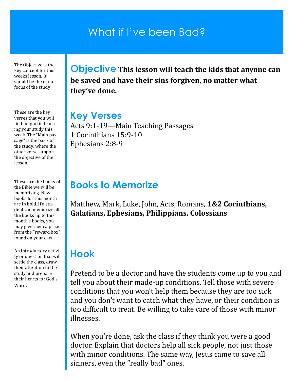## What if I've been Bad?

The Objective is the key concept for this weeks lesson. It should be the main focus of the study

These are the key verses that you will find helpful in teaching your study this week. The "Main passage" is the basis of the study, where the other verse support the objective of the lesson.

These are the books of the Bible we will be memorizing. New books for this month are in bold. If a student can memorize all the books up to this month's books, you may give them a prize from the "reward box" found on your cart.

An introductory activity or question that will settle the class, draw their attention to the study and prepare their hearts for God's Word.

**Objective This lesson will teach the kids that anyone can be saved and have their sins forgiven, no matter what they've done.**

#### **Key Verses**

Acts 9:1-19—Main Teaching Passages 1 Corinthians 15:9-10 Ephesians 2:8-9

### **Books to Memorize**

Matthew, Mark, Luke, John, Acts, Romans, **1&2 Corinthians, Galatians, Ephesians, Philippians, Colossians**

## **Hook**

Pretend to be a doctor and have the students come up to you and tell you about their made-up conditions. Tell those with severe conditions that you won't help them because they are too sick and you don't want to catch what they have, or their condition is too difficult to treat. Be willing to take care of those with minor illnesses.

When you're done, ask the class if they think you were a good doctor. Explain that doctors help all sick people, not just those with minor conditions. The same way, Jesus came to save all sinners, even the "really bad" ones.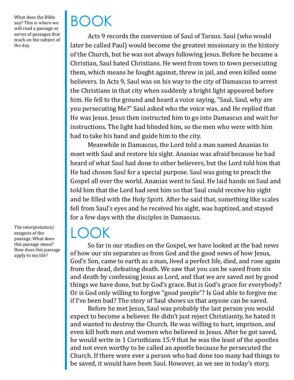What does the Bible say? This is where we will read a passage or series of passages that teach on the subject of the day.

The interpretation/ exegesis of the passage. What does this passage mean? How does this passage apply to my life?

# BOOK

Acts 9 records the conversion of Saul of Tarsus. Saul (who would later be called Paul) would become the greatest missionary in the history of the Church, but he was not always following Jesus. Before he became a Christian, Saul hated Christians. He went from town to town persecuting them, which means he fought against, threw in jail, and even killed some believers. In Acts 9, Saul was on his way to the city of Damascus to arrest the Christians in that city when suddenly a bright light appeared before him. He fell to the ground and heard a voice saying, "Saul, Saul, why are you persecuting Me?" Saul asked who the voice was, and He replied that He was Jesus. Jesus then instructed him to go into Damascus and wait for instructions. The light had blinded him, so the men who were with him had to take his hand and guide him to the city.

Meanwhile in Damascus, the Lord told a man named Ananias to meet with Saul and restore his sight. Ananias was afraid because he had heard of what Saul had done to other believers, but the Lord told him that He had chosen Saul for a special purpose. Saul was going to preach the Gospel all over the world. Ananias went to Saul. He laid hands on Saul and told him that the Lord had sent him so that Saul could receive his sight and be filled with the Holy Spirit. After he said that, something like scales fell from Saul's eyes and he received his sight, was baptized, and stayed for a few days with the disciples in Damascus.

## $\mathsf{L}(\mathsf{C})$

So far in our studies on the Gospel, we have looked at the bad news of how our sin separates us from God and the good news of how Jesus, God's Son, came to earth as a man, lived a perfect life, died, and rose again from the dead, defeating death. We saw that you can be saved from sin and death by confessing Jesus as Lord, and that we are saved not by good things we have done, but by God's grace. But is God's grace for everybody? Or is God only willing to forgive "good people"? Is God able to forgive me if I've been bad? The story of Saul shows us that anyone can be saved.

Before he met Jesus, Saul was probably the last person you would expect to become a believer. He didn't just reject Christianity, he hated it and wanted to destroy the Church. He was willing to hurt, imprison, and even kill both men and women who believed in Jesus. After he got saved, he would write in 1 Corinthians 15:9 that he was the least of the apostles and not even worthy to be called an apostle because he persecuted the Church. If there were ever a person who had done too many bad things to be saved, it would have been Saul. However, as we see in today's story,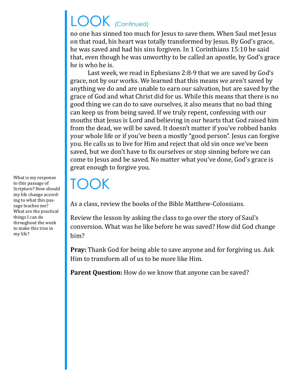## LOOK (Continued)

no one has sinned too much for Jesus to save them. When Saul met Jesus on that road, his heart was totally transformed by Jesus. By God's grace, he was saved and had his sins forgiven. In 1 Corinthians 15:10 he said that, even though he was unworthy to be called an apostle, by God's grace he is who he is.

Last week, we read in Ephesians 2:8-9 that we are saved by God's grace, not by our works. We learned that this means we aren't saved by anything we do and are unable to earn our salvation, but are saved by the grace of God and what Christ did for us. While this means that there is no good thing we can do to save ourselves, it also means that no bad thing can keep us from being saved. If we truly repent, confessing with our mouths that Jesus is Lord and believing in our hearts that God raised him from the dead, we will be saved. It doesn't matter if you've robbed banks your whole life or if you've been a mostly "good person". Jesus can forgive you. He calls us to live for Him and reject that old sin once we've been saved, but we don't have to fix ourselves or stop sinning before we can come to Jesus and be saved. No matter what you've done, God's grace is great enough to forgive you.

## TOOK

As a class, review the books of the Bible Matthew-Colossians.

Review the lesson by asking the class to go over the story of Saul's conversion. What was he like before he was saved? How did God change him?

**Pray:** Thank God for being able to save anyone and for forgiving us. Ask Him to transform all of us to be more like Him.

Parent Question: How do we know that anyone can be saved?

What is my response to this passage of Scripture? How should my life change according to what this passage teaches me? What are the practical things I can do throughout the week to make this true in my life?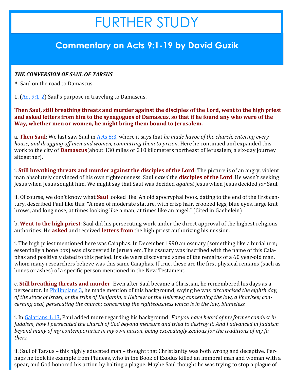## FURTHER STUDY

### **Commentary on Acts 9:1-19 by David Guzik**

#### *THE CONVERSION OF SAUL OF TARSUS*

A. Saul on the road to Damascus.

1. [\(Act 9:1](https://www.blueletterbible.org/kjv/acts/9/1-2/s_1027001)-2) Saul's purpose in traveling to Damascus.

**Then Saul, still breathing threats and murder against the disciples of the Lord, went to the high priest and asked letters from him to the synagogues of Damascus, so that if he found any who were of the Way, whether men or women, he might bring them bound to Jerusalem.**

a. **Then Saul**: We last saw Saul in [Acts 8:3,](https://www.blueletterbible.org/kjv/acts/8/3/s_1026003) where it says that *he made havoc of the church, entering every house, and dragging off men and women, committing them to prison*. Here he continued and expanded this work to the city of **Damascus**(about 130 miles or 210 kilometers northeast of Jerusalem; a six-day journey altogether).

i. **Still breathing threats and murder against the disciples of the Lord**: The picture is of an angry, violent man absolutely convinced of his own righteousness. Saul *hated* the **disciples of the Lord**. He wasn't seeking Jesus when Jesus sought him. We might say that Saul was decided *against* Jesus when Jesus decided *for* Saul.

ii. Of course, we don't know what **Saul** looked like. An old apocryphal book, dating to the end of the first century, described Paul like this: "A man of moderate stature, with crisp hair, crooked legs, blue eyes, large knit brows, and long nose, at times looking like a man, at times like an angel." (Cited in Gaebelein)

b. **Went to the high priest**: Saul did his persecuting work under the direct approval of the highest religious authorities. He **asked** and received **letters from** the high priest authorizing his mission.

i. The high priest mentioned here was Caiaphas. In December 1990 an ossuary (something like a burial urn; essentially a bone box) was discovered in Jerusalem. The ossuary was inscribed with the name of this Caiaphas and positively dated to this period. Inside were discovered some of the remains of a 60 year-old man, whom many researchers believe was this same Caiaphas. If true, these are the first physical remains (such as bones or ashes) of a specific person mentioned in the New Testament.

c. **Still breathing threats and murder**: Even after Saul became a Christian, he remembered his days as a persecutor. In [Philippians 3,](https://www.blueletterbible.org/kjv/philippians/3/1-21/s_1106001) he made mention of this background, saying he was *circumcised the eighth day, of the stock of Israel, of the tribe of Benjamin, a Hebrew of the Hebrews; concerning the law, a Pharisee; concerning zeal, persecuting the church; concerning the righteousness which is in the law, blameless.*

i. In [Galatians 1:13,](https://www.blueletterbible.org/kjv/galatians/1/13/s_1092013) Paul added more regarding his background: *For you have heard of my former conduct in Judaism, how I persecuted the church of God beyond measure and tried to destroy it. And I advanced in Judaism beyond many of my contemporaries in my own nation, being exceedingly zealous for the traditions of my fathers.*

ii. Saul of Tarsus – this highly educated man – thought that Christianity was both wrong and deceptive. Perhaps he took his example from Phineas, who in the Book of Exodus killed an immoral man and woman with a spear, and God honored his action by halting a plague. Maybe Saul thought he was trying to stop a plague of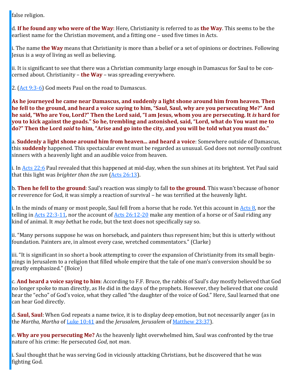false religion.

d. **If he found any who were of the Way**: Here, Christianity is referred to as **the Way**. This seems to be the earliest name for the Christian movement, and a fitting one – used five times in Acts.

i. The name **the Way** means that Christianity is more than a belief or a set of opinions or doctrines. Following Jesus is a *way* of living as well as believing.

ii. It is significant to see that there was a Christian community large enough in Damascus for Saul to be concerned about. Christianity – **the Way** – was spreading everywhere.

2. ([Act 9:3](https://www.blueletterbible.org/kjv/acts/9/3-6/s_1027003)-6) God meets Paul on the road to Damascus.

**As he journeyed he came near Damascus, and suddenly a light shone around him from heaven. Then he fell to the ground, and heard a voice saying to him, "Saul, Saul, why are you persecuting Me?" And he said, "Who are You, Lord?" Then the Lord said, "I am Jesus, whom you are persecuting. It** *is* **hard for you to kick against the goads." So he, trembling and astonished, said, "Lord, what do You want me to do?" Then the Lord** *said* **to him, "Arise and go into the city, and you will be told what you must do."**

a. **Suddenly a light shone around him from heaven... and heard a voice**: Somewhere outside of Damascus, this **suddenly** happened. This spectacular event must be regarded as unusual. God does not *normally* confront sinners with a heavenly light and an audible voice from heaven.

i. In [Acts 22:6](https://www.blueletterbible.org/kjv/acts/22/6/s_1040006) Paul revealed that this happened at mid-day, when the sun shines at its brightest. Yet Paul said that this light was *brighter than the sun* ([Acts 26:13\).](https://www.blueletterbible.org/kjv/acts/26/13/s_1044013)

b. **Then he fell to the ground**: Saul's reaction was simply to fall **to the ground**. This wasn't because of honor or reverence for God, it was simply a reaction of survival – he was terrified at the heavenly light.

i. In the minds of many or most people, Saul fell from a horse that he rode. Yet this account in [Acts 8,](https://www.blueletterbible.org/kjv/acts/8/1-40/s_1026001) nor the telling in [Acts 22:3](https://www.blueletterbible.org/kjv/acts/22/3-11/s_1040003)-11, nor the account of [Acts 26:12](https://www.blueletterbible.org/kjv/acts/26/12-20/s_1044012)-20 make any mention of a horse or of Saul riding any kind of animal. It *may be*that he rode, but the text does not specifically say so.

ii. "Many persons suppose he was on horseback, and painters thus represent him; but this is utterly without foundation. Painters are, in almost every case, wretched commentators." (Clarke)

iii. "It is significant in so short a book attempting to cover the expansion of Christianity from its small beginnings in Jerusalem to a religion that filled whole empire that the tale of one man's conversion should be so greatly emphasized." (Boice)

c. **And heard a voice saying to him**: According to F.F. Bruce, the rabbis of Saul's day mostly believed that God no longer spoke to man directly, as He did in the days of the prophets. However, they believed that one could hear the "echo" of God's voice, what they called "the daughter of the voice of God." Here, Saul learned that one can hear God directly.

d. **Saul, Saul**: When God repeats a name twice, it is to display deep emotion, but not necessarily anger (as in the *Martha, Martha* of [Luke 10:41](https://www.blueletterbible.org/kjv/luke/10/41/s_983041) and the *Jerusalem, Jerusalem* of [Matthew 23:37\)](https://www.blueletterbible.org/kjv/matthew/23/37/s_952037).

e. **Why are you persecuting Me?** As the heavenly light overwhelmed him, Saul was confronted by the true nature of his crime: He persecuted *God*, not *man*.

i. Saul thought that he was serving God in viciously attacking Christians, but he discovered that he was fighting God.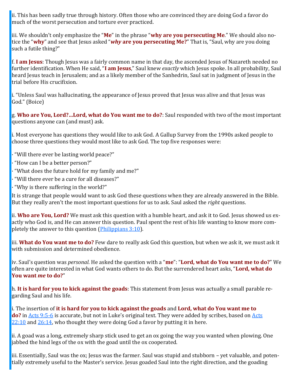ii. This has been sadly true through history. Often those who are convinced they are doing God a favor do much of the worst persecution and torture ever practiced.

iii. We shouldn't only emphasize the "**Me**" in the phrase "**why are you persecuting Me**." We should also notice the "**why**" and see that Jesus asked "*why* **are you persecuting Me?**" That is, "Saul, why are you doing such a futile thing?"

f. **I am Jesus**: Though Jesus was a fairly common name in that day, the ascended Jesus of Nazareth needed no further identification. When He said, "**I am Jesus**," Saul knew *exactly* which Jesus spoke. In all probability, Saul heard Jesus teach in Jerusalem; and as a likely member of the Sanhedrin, Saul sat in judgment of Jesus in the trial before His crucifixion.

i. "Unless Saul was hallucinating, the appearance of Jesus proved that Jesus was alive and that Jesus was God." (Boice)

g. **Who are You, Lord?…Lord, what do You want me to do?**: Saul responded with two of the most important questions anyone can (and must) ask.

i. Most everyone has questions they would like to ask God. A Gallup Survey from the 1990s asked people to choose three questions they would most like to ask God. The top five responses were:

- · "Will there ever be lasting world peace?"
- · "How can I be a better person?"
- "What does the future hold for my family and me?"
- · "Will there ever be a cure for all diseases?"
- · "Why is there suffering in the world?"

It is strange that people would want to ask God these questions when they are already answered in the Bible. But they really aren't the most important questions for us to ask. Saul asked the *right* questions.

ii. **Who are You, Lord?** We must ask this question with a humble heart, and ask it to God. Jesus showed us exactly who God is, and He can answer this question. Paul spent the rest of his life wanting to know more completely the answer to this question ([Philippians 3:10\).](https://www.blueletterbible.org/kjv/philippians/3/10/s_1106010)

iii. **What do You want me to do?** Few dare to really ask God this question, but when we ask it, we must ask it with submission and determined obedience.

iv. Saul's question was *personal*. He asked the question with a "**me**": "**Lord, what do You want me to do?**" We often are quite interested in what God wants others to do. But the surrendered heart asks, "**Lord, what do You want** *me* **to do?**"

h. **It is hard for you to kick against the goads**: This statement from Jesus was actually a small parable regarding Saul and his life.

i. The insertion of **it is hard for you to kick against the goads** and **Lord, what do You want me to do?** in [Acts 9:5](https://www.blueletterbible.org/kjv/acts/9/5-6/s_1027005)-6 is accurate, but not in Luke's original text. They were added by scribes, based on Acts  $22:10$  and  $26:14$ , who thought they were doing God a favor by putting it in here.

ii. A goad was a long, extremely sharp stick used to get an ox going the way you wanted when plowing. One jabbed the hind legs of the ox with the goad until the ox cooperated.

iii. Essentially, Saul was the ox; Jesus was the farmer. Saul was stupid and stubborn – yet valuable, and potentially extremely useful to the Master's service. Jesus goaded Saul into the right direction, and the goading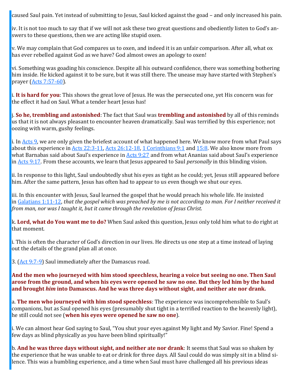caused Saul pain. Yet instead of submitting to Jesus, Saul kicked against the goad – and only increased his pain.

iv. It is not too much to say that if we will not ask these two great questions and obediently listen to God's answers to these questions, then we are acting like stupid oxen.

v. We may complain that God compares us to oxen, and indeed it is an unfair comparison. After all, what ox has ever rebelled against God as we have? God almost owes an apology to oxen!

vi. Something was goading his conscience. Despite all his outward confidence, there was something bothering him inside. He kicked against it to be sure, but it was still there. The unease may have started with Stephen's prayer [\(Acts 7:57](https://www.blueletterbible.org/kjv/acts/7/57-60/s_1025057)-60).

i. **It is hard for you**: This shows the great love of Jesus. He was the persecuted one, yet His concern was for the effect it had on Saul. What a tender heart Jesus has!

j. **So he, trembling and astonished**: The fact that Saul was **trembling and astonished** by all of this reminds us that it is not always pleasant to encounter heaven dramatically. Saul was terrified by this experience; not oozing with warm, gushy feelings.

i. In [Acts 9,](https://www.blueletterbible.org/kjv/acts/9/1-43/s_1027001) we are only given the briefest account of what happened here. We know more from what Paul says about this experience in [Acts 22:3](https://www.blueletterbible.org/kjv/acts/22/3-11/s_1040003)-11, [Acts 26:12](https://www.blueletterbible.org/kjv/acts/26/12-18/s_1044012)-18, [1 Corinthians 9:1](https://www.blueletterbible.org/kjv/1corinthians/9/1/s_1071001) and [15:8.](https://www.blueletterbible.org/kjv/1corinthians/15/8/s_1077008) We also know more from what Barnabas said about Saul's experience in [Acts 9:27](https://www.blueletterbible.org/kjv/acts/9/27/s_1027027) and from what Ananias said about Saul's experience in [Acts 9:17.](https://www.blueletterbible.org/kjv/acts/9/17/s_1027017) From these accounts, we learn that Jesus appeared to Saul *personally* in this blinding vision.

ii. In response to this light, Saul undoubtedly shut his eyes as tight as he could; yet, Jesus still appeared before him. After the same pattern, Jesus has often had to appear to us even though we shut our eyes.

iii. In this encounter with Jesus, Saul learned the gospel that he would preach his whole life. He insisted in [Galatians 1:11](https://www.blueletterbible.org/kjv/galatians/1/11-12/s_1092011)-12, *that the gospel which was preached by me is not according to man. For I neither received it from man, nor was I taught it, but it came through the revelation of Jesus Christ.*

k. **Lord, what do You want me to do?** When Saul asked this question, Jesus only told him what to do right at that moment.

i. This is often the character of God's direction in our lives. He directs us one step at a time instead of laying out the details of the grand plan all at once.

3. ([Act 9:7](https://www.blueletterbible.org/kjv/acts/9/7-9/s_1027007)-9) Saul immediately after the Damascus road.

**And the men who journeyed with him stood speechless, hearing a voice but seeing no one. Then Saul arose from the ground, and when his eyes were opened he saw no one. But they led him by the hand and brought** *him* **into Damascus. And he was three days without sight, and neither ate nor drank.**

a. **The men who journeyed with him stood speechless**: The experience was incomprehensible to Saul's companions, but as Saul opened his eyes (presumably shut tight in a terrified reaction to the heavenly light), he still could not see (**when his eyes were opened he saw no one**).

i. We can almost hear God saying to Saul, "You shut your eyes against My light and My Savior. Fine! Spend a few days as blind physically as you have been blind spiritually!"

b. **And he was three days without sight, and neither ate nor drank**: It seems that Saul was so shaken by the experience that he was unable to eat or drink for three days. All Saul could do was simply sit in a blind silence. This was a humbling experience, and a time when Saul must have challenged all his previous ideas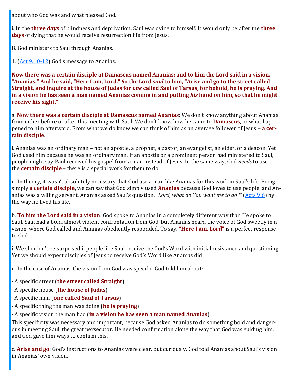about who God was and what pleased God.

i. In the **three days** of blindness and deprivation, Saul was dying to himself. It would only be after the **three days** of dying that he would receive resurrection life from Jesus.

B. God ministers to Saul through Ananias.

1. ([Act 9:10](https://www.blueletterbible.org/kjv/acts/9/10-12/s_1027010)-12) God's message to Ananias.

**Now there was a certain disciple at Damascus named Ananias; and to him the Lord said in a vision, "Ananias." And he said, "Here I am, Lord." So the Lord** *said* **to him, "Arise and go to the street called Straight, and inquire at the house of Judas for** *one* **called Saul of Tarsus, for behold, he is praying. And in a vision he has seen a man named Ananias coming in and putting** *his* **hand on him, so that he might receive his sight."**

a. **Now there was a certain disciple at Damascus named Ananias**: We don't know anything about Ananias from either before or after this meeting with Saul. We don't know how he came to **Damascus**, or what happened to him afterward. From what we do know we can think of him as an average follower of Jesus – **a certain disciple**.

i. Ananias was an ordinary man – not an apostle, a prophet, a pastor, an evangelist, an elder, or a deacon. Yet God used him because he was an ordinary man. If an apostle or a prominent person had ministered to Saul, people might say Paul received his gospel from a man instead of Jesus. In the same way, God *needs* to use the **certain disciple** – there is a special work for them to do.

ii. In theory, it wasn't absolutely necessary that God use a man like Ananias for this work in Saul's life. Being simply **a certain disciple**, we can say that God simply used **Ananias** because God loves to use people, and Ananias was a willing servant. Ananias asked Saul's question, *"Lord, what do You want me to do?"* ([Acts 9:6\)](https://www.blueletterbible.org/kjv/acts/9/6/s_1027006) by the way he lived his life.

b. **To him the Lord said in a vision**: God spoke to Ananias in a completely different way than He spoke to Saul. Saul had a bold, almost violent confrontation from God, but Ananias heard the voice of God sweetly in a vision, where God called and Ananias obediently responded. To say, **"Here I am, Lord"** is a perfect response to God.

i. We shouldn't be surprised if people like Saul receive the God's Word with initial resistance and questioning. Yet we should expect disciples of Jesus to receive God's Word like Ananias did.

ii. In the case of Ananias, the vision from God was specific. God told him about:

- · A specific street (**the street called Straight**)
- · A specific house (**the house of Judas**)
- · A specific man (**one called Saul of Tarsus**)
- · A specific thing the man was doing (**he is praying**)

#### · A specific vision the man had (**in a vision he has seen a man named Ananias**)

This specificity was necessary and important, because God asked Ananias to do something bold and dangerous in meeting Saul, the great persecutor. He needed confirmation along the way that God was guiding him, and God gave him ways to confirm this.

c. **Arise and go**: God's instructions to Ananias were clear, but curiously, God told Ananias about Saul's vision in Ananias' own vision.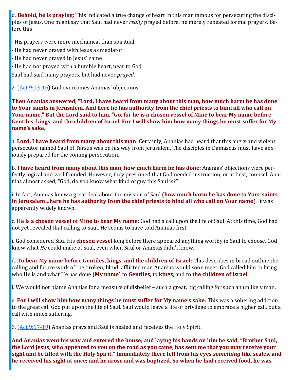d. **Behold, he is praying**: This indicated a true change of heart in this man famous for persecuting the disciples of Jesus. One might say that Saul had never *really* prayed before; he merely repeated formal prayers. Before this:

- · His prayers were more mechanical than spiritual
- · He had never prayed with Jesus as mediator
- · He had never prayed in Jesus' name
- · He had not prayed with a humble heart, near to God

Saul had said many prayers, but had never *prayed*.

2. ([Act 9:13](https://www.blueletterbible.org/kjv/acts/9/13-16/s_1027013)-16) God overcomes Ananias' objections.

**Then Ananias answered, "Lord, I have heard from many about this man, how much harm he has done to Your saints in Jerusalem. And here he has authority from the chief priests to bind all who call on Your name." But the Lord said to him, "Go, for he is a chosen vessel of Mine to bear My name before Gentiles, kings, and the children of Israel. For I will show him how many things he must suffer for My name's sake."**

a. **Lord, I have heard from many about this man**: Certainly, Ananias had heard that this angry and violent persecutor named Saul of Tarsus was on his way from Jerusalem. The disciples in Damascus must have anxiously prepared for the coming persecution.

b. **I have heard from many about this man, how much harm he has done**: Ananias' objections were perfectly logical and well founded. However, they presumed that God needed instruction, or at best, counsel. Ananias almost asked, "God, do you know what kind of guy this Saul is?"

i. In fact, Ananias knew a great deal about the mission of Saul (**how much harm he has done to Your saints in Jerusalem…here he has authority from the chief priests to bind all who call on Your name**). It was apparently widely known.

c. **He is a chosen vessel of Mine to bear My name**: God had a call upon the life of Saul. At this time, God had not yet revealed that calling to Saul. He seems to have told Ananias first.

i. God considered Saul His **chosen vessel** long before there appeared anything worthy in Saul to choose. God knew what *He* could make of Saul, even when Saul or Ananias didn't know.

d. **To bear My name before Gentiles, kings, and the children of Israel**: This describes in broad outline the calling and future work of the broken, blind, afflicted man Ananias would soon meet. God called him to bring who He is and what He has done (**My name**) to **Gentiles**, to **kings**, and to **the children of Israel**.

i. We would not blame Ananias for a measure of disbelief – such a great, big calling for such an unlikely man.

e. **For I will show him how many things he must suffer for My name's sake**: This was a sobering addition to the great call God put upon the life of Saul. Saul would leave a life of privilege to embrace a higher call, but a call with much suffering.

3. ([Act 9:17](https://www.blueletterbible.org/kjv/acts/9/17-19/s_1027017)-19) Ananias prays and Saul is healed and receives the Holy Spirit.

**And Ananias went his way and entered the house; and laying his hands on him he said, "Brother Saul, the Lord Jesus, who appeared to you on the road as you came, has sent me that you may receive your sight and be filled with the Holy Spirit." Immediately there fell from his eyes** *something* **like scales, and he received his sight at once; and he arose and was baptized. So when he had received food, he was**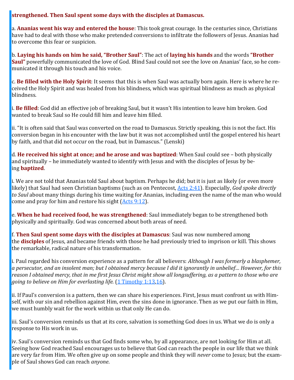#### **strengthened. Then Saul spent some days with the disciples at Damascus.**

a. **Ananias went his way and entered the house**: This took great courage. In the centuries since, Christians have had to deal with those who make pretended conversions to infiltrate the followers of Jesus. Ananias had to overcome this fear or suspicion.

b. **Laying his hands on him he said, "Brother Saul"**: The act of **laying his hands** and the words **"Brother Saul"** powerfully communicated the love of God. Blind Saul could not see the love on Ananias' face, so he communicated it through his touch and his voice.

c. **Be filled with the Holy Spirit**: It seems that this is when Saul was actually born again. Here is where he received the Holy Spirit and was healed from his blindness, which was spiritual blindness as much as physical blindness.

i. **Be filled**: God did an effective job of breaking Saul, but it wasn't His intention to leave him broken. God wanted to break Saul so He could fill him and leave him filled.

ii. "It is often said that Saul was converted on the road to Damascus. Strictly speaking, this is not the fact. His conversion began in his encounter with the law but it was not accomplished until the gospel entered his heart by faith, and that did not occur on the road, but in Damascus." (Lenski)

d. **He received his sight at once; and he arose and was baptized**: When Saul could see – both physically and spiritually – he immediately wanted to identify with Jesus and with the disciples of Jesus by being **baptized**.

i. We are not told that Ananias told Saul about baptism. Perhaps he did; but it is just as likely (or even more likely) that Saul had seen Christian baptisms (such as on Pentecost, [Acts 2:41\)](https://www.blueletterbible.org/kjv/acts/2/41/s_1020041). Especially, *God spoke directly to Saul* about many things during his time waiting for Ananias, including even the name of the man who would come and pray for him and restore his sight ([Acts 9:12\)](https://www.blueletterbible.org/kjv/acts/9/12/s_1027012).

e. **When he had received food, he was strengthened**: Saul immediately began to be strengthened both physically and spiritually. God was concerned about both areas of need.

f. **Then Saul spent some days with the disciples at Damascus**: Saul was now numbered among the **disciples** of Jesus, and became friends with those he had previously tried to imprison or kill. This shows the remarkable, radical nature of his transformation.

i. Paul regarded his conversion experience as a pattern for all believers: *Although I was formerly a blasphemer, a persecutor, and an insolent man; but I obtained mercy because I did it ignorantly in unbelief… However, for this reason I obtained mercy, that in me first Jesus Christ might show all longsuffering, as a pattern to those who are going to believe on Him for everlasting life.* ([1 Timothy 1:13,](https://www.blueletterbible.org/kjv/1timothy/1/13/s_1120013)[16\).](https://www.blueletterbible.org/kjv/1timothy/1/16/s_1120016)

ii. If Paul's conversion is a pattern, then we can share his experiences. First, Jesus must confront us with Himself, with our sin and rebellion against Him, even the sins done in ignorance. Then as we put our faith in Him, we must humbly wait for the work within us that only He can do.

iii. Saul's conversion reminds us that at its core, salvation is something God does in us. What we do is only a response to His work in us.

iv. Saul's conversion reminds us that God finds some who, by all appearance, are not looking for Him at all. Seeing how God reached Saul encourages us to believe that God can reach the people in our life that we think are very far from Him. We often give up on some people and think they will *never* come to Jesus; but the example of Saul shows God can reach *anyone*.